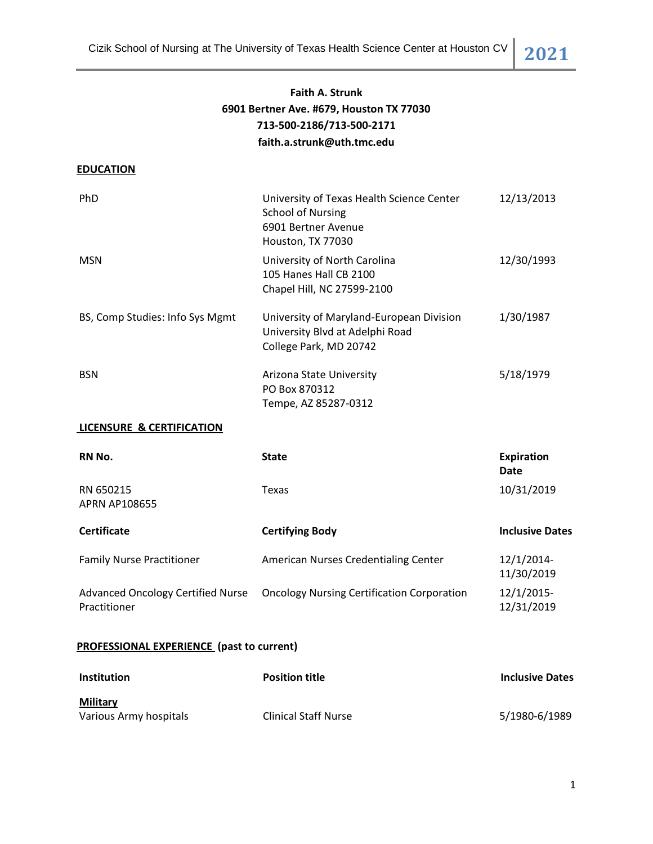Cizik School of Nursing at The University of Texas Health Science Center at Houston CV **2021**

# **Faith A. Strunk 6901 Bertner Ave. #679, Houston TX 77030 713-500-2186/713-500-2171 faith.a.strunk@uth.tmc.edu**

## **EDUCATION**

| PhD                             | University of Texas Health Science Center<br><b>School of Nursing</b><br>6901 Bertner Avenue<br>Houston, TX 77030 | 12/13/2013 |
|---------------------------------|-------------------------------------------------------------------------------------------------------------------|------------|
| <b>MSN</b>                      | University of North Carolina<br>105 Hanes Hall CB 2100<br>Chapel Hill, NC 27599-2100                              | 12/30/1993 |
| BS, Comp Studies: Info Sys Mgmt | University of Maryland-European Division<br>University Blvd at Adelphi Road<br>College Park, MD 20742             | 1/30/1987  |
| <b>BSN</b>                      | Arizona State University<br>PO Box 870312<br>Tempe, AZ 85287-0312                                                 | 5/18/1979  |

## **LICENSURE & CERTIFICATION**

| RN No.                                                   | <b>State</b>                                      | <b>Expiration</b><br><b>Date</b> |
|----------------------------------------------------------|---------------------------------------------------|----------------------------------|
| RN 650215<br><b>APRN AP108655</b>                        | Texas                                             | 10/31/2019                       |
| <b>Certificate</b>                                       | <b>Certifying Body</b>                            | <b>Inclusive Dates</b>           |
| <b>Family Nurse Practitioner</b>                         | American Nurses Credentialing Center              | 12/1/2014-<br>11/30/2019         |
| <b>Advanced Oncology Certified Nurse</b><br>Practitioner | <b>Oncology Nursing Certification Corporation</b> | 12/1/2015-<br>12/31/2019         |

## **PROFESSIONAL EXPERIENCE (past to current)**

| <b>Institution</b>     | <b>Position title</b>       | <b>Inclusive Dates</b> |
|------------------------|-----------------------------|------------------------|
| Military               |                             |                        |
| Various Army hospitals | <b>Clinical Staff Nurse</b> | 5/1980-6/1989          |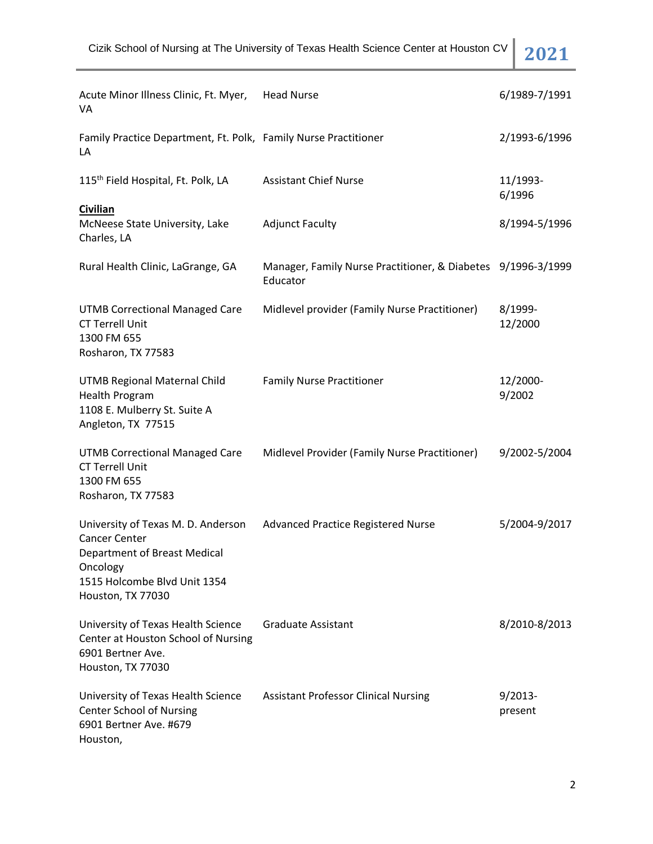| Acute Minor Illness Clinic, Ft. Myer,<br>VA                                                                                                                        | <b>Head Nurse</b>                                                        | 6/1989-7/1991         |
|--------------------------------------------------------------------------------------------------------------------------------------------------------------------|--------------------------------------------------------------------------|-----------------------|
| Family Practice Department, Ft. Polk, Family Nurse Practitioner<br>LA                                                                                              |                                                                          | 2/1993-6/1996         |
| 115 <sup>th</sup> Field Hospital, Ft. Polk, LA                                                                                                                     | <b>Assistant Chief Nurse</b>                                             | 11/1993-<br>6/1996    |
| <b>Civilian</b><br>McNeese State University, Lake<br>Charles, LA                                                                                                   | <b>Adjunct Faculty</b>                                                   | 8/1994-5/1996         |
| Rural Health Clinic, LaGrange, GA                                                                                                                                  | Manager, Family Nurse Practitioner, & Diabetes 9/1996-3/1999<br>Educator |                       |
| <b>UTMB Correctional Managed Care</b><br><b>CT Terrell Unit</b><br>1300 FM 655<br>Rosharon, TX 77583                                                               | Midlevel provider (Family Nurse Practitioner)                            | 8/1999-<br>12/2000    |
| UTMB Regional Maternal Child<br><b>Health Program</b><br>1108 E. Mulberry St. Suite A<br>Angleton, TX 77515                                                        | <b>Family Nurse Practitioner</b>                                         | 12/2000-<br>9/2002    |
| <b>UTMB Correctional Managed Care</b><br><b>CT Terrell Unit</b><br>1300 FM 655<br>Rosharon, TX 77583                                                               | Midlevel Provider (Family Nurse Practitioner)                            | 9/2002-5/2004         |
| University of Texas M. D. Anderson<br><b>Cancer Center</b><br><b>Department of Breast Medical</b><br>Oncology<br>1515 Holcombe Blvd Unit 1354<br>Houston, TX 77030 | Advanced Practice Registered Nurse                                       | 5/2004-9/2017         |
| University of Texas Health Science<br>Center at Houston School of Nursing<br>6901 Bertner Ave.<br>Houston, TX 77030                                                | <b>Graduate Assistant</b>                                                | 8/2010-8/2013         |
| University of Texas Health Science<br><b>Center School of Nursing</b><br>6901 Bertner Ave. #679<br>Houston,                                                        | <b>Assistant Professor Clinical Nursing</b>                              | $9/2013 -$<br>present |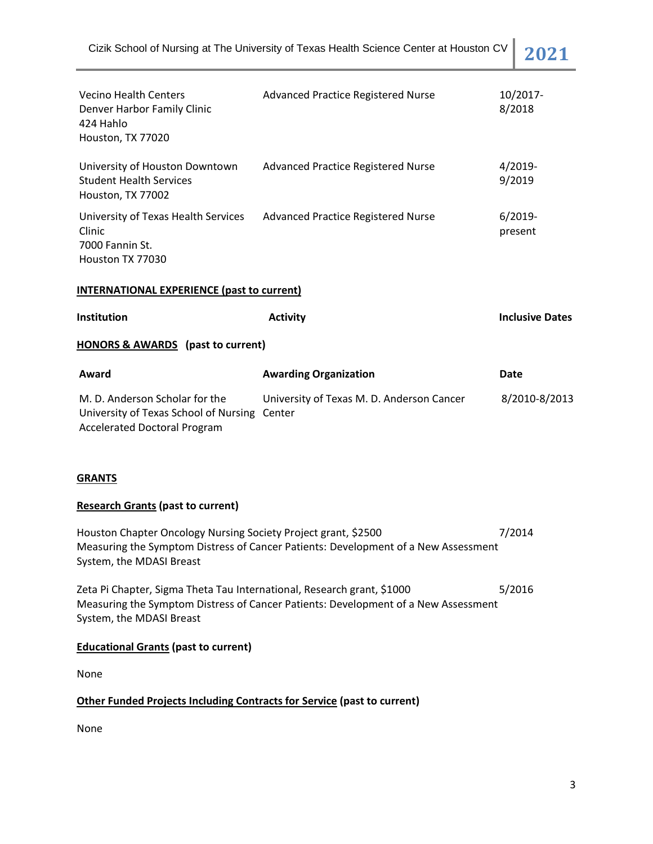| <b>Vecino Health Centers</b><br>Denver Harbor Family Clinic<br>424 Hahlo<br>Houston, TX 77020                  | <b>Advanced Practice Registered Nurse</b>           | 10/2017-<br>8/2018     |  |
|----------------------------------------------------------------------------------------------------------------|-----------------------------------------------------|------------------------|--|
| University of Houston Downtown<br><b>Student Health Services</b><br>Houston, TX 77002                          | <b>Advanced Practice Registered Nurse</b>           | $4/2019-$<br>9/2019    |  |
| University of Texas Health Services<br>Clinic<br>7000 Fannin St.<br>Houston TX 77030                           | <b>Advanced Practice Registered Nurse</b>           | $6/2019-$<br>present   |  |
| <b>INTERNATIONAL EXPERIENCE (past to current)</b>                                                              |                                                     |                        |  |
| Institution                                                                                                    | <b>Activity</b>                                     | <b>Inclusive Dates</b> |  |
| HONORS & AWARDS (past to current)                                                                              |                                                     |                        |  |
| Award                                                                                                          | <b>Awarding Organization</b>                        | <b>Date</b>            |  |
| M. D. Anderson Scholar for the<br>University of Texas School of Nursing<br><b>Accelerated Doctoral Program</b> | University of Texas M. D. Anderson Cancer<br>Center | 8/2010-8/2013          |  |

## **GRANTS**

## **Research Grants (past to current)**

Houston Chapter Oncology Nursing Society Project grant, \$2500 7/2014 Measuring the Symptom Distress of Cancer Patients: Development of a New Assessment System, the MDASI Breast

Zeta Pi Chapter, Sigma Theta Tau International, Research grant, \$1000 5/2016 Measuring the Symptom Distress of Cancer Patients: Development of a New Assessment System, the MDASI Breast

#### **Educational Grants (past to current)**

None

#### **Other Funded Projects Including Contracts for Service (past to current)**

None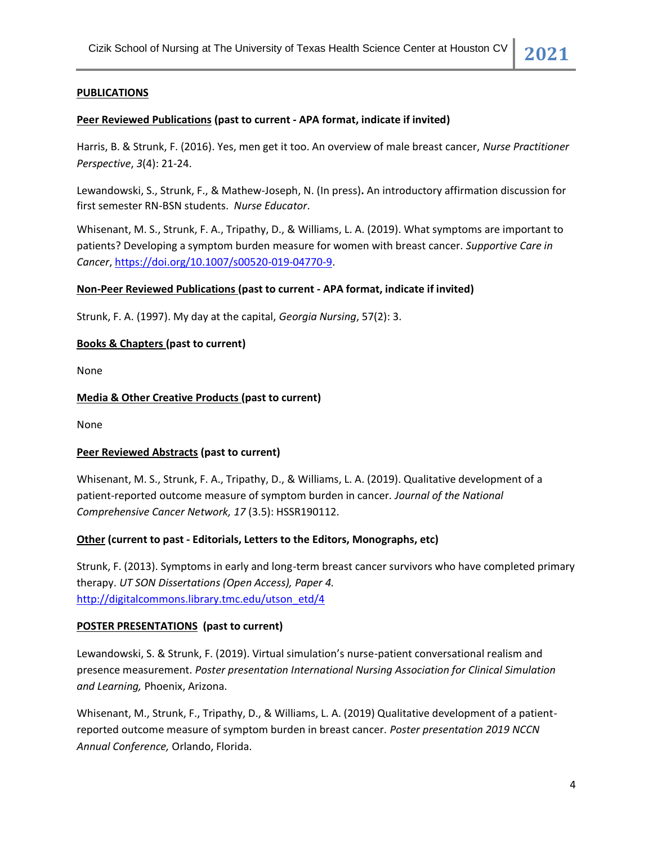## **PUBLICATIONS**

#### **Peer Reviewed Publications (past to current - APA format, indicate if invited)**

Harris, B. & Strunk, F. (2016). Yes, men get it too. An overview of male breast cancer, *Nurse Practitioner Perspective*, *3*(4): 21-24.

Lewandowski, S., Strunk, F., & Mathew-Joseph, N. (In press)**.** An introductory affirmation discussion for first semester RN-BSN students. *Nurse Educator*.

Whisenant, M. S., Strunk, F. A., Tripathy, D., & Williams, L. A. (2019). What symptoms are important to patients? Developing a symptom burden measure for women with breast cancer. *Supportive Care in Cancer*, [https://doi.org/10.1007/s00520-019-04770-9.](https://doi.org/10.1007/s00520-019-04770-9)

#### **Non-Peer Reviewed Publications (past to current - APA format, indicate if invited)**

Strunk, F. A. (1997). My day at the capital, *Georgia Nursing*, 57(2): 3.

### **Books & Chapters (past to current)**

None

### **Media & Other Creative Products (past to current)**

None

#### **Peer Reviewed Abstracts (past to current)**

Whisenant, M. S., Strunk, F. A., Tripathy, D., & Williams, L. A. (2019). Qualitative development of a patient-reported outcome measure of symptom burden in cancer. *Journal of the National Comprehensive Cancer Network, 17* (3.5): HSSR190112.

#### **Other (current to past - Editorials, Letters to the Editors, Monographs, etc)**

Strunk, F. (2013). Symptoms in early and long-term breast cancer survivors who have completed primary therapy. *UT SON Dissertations (Open Access), Paper 4.* [http://digitalcommons.library.tmc.edu/utson\\_etd/4](http://digitalcommons.library.tmc.edu/utson_etd/4)

## **POSTER PRESENTATIONS (past to current)**

Lewandowski, S. & Strunk, F. (2019). Virtual simulation's nurse-patient conversational realism and presence measurement. *Poster presentation International Nursing Association for Clinical Simulation and Learning,* Phoenix, Arizona.

Whisenant, M., Strunk, F., Tripathy, D., & Williams, L. A. (2019) Qualitative development of a patientreported outcome measure of symptom burden in breast cancer. *Poster presentation 2019 NCCN Annual Conference,* Orlando, Florida.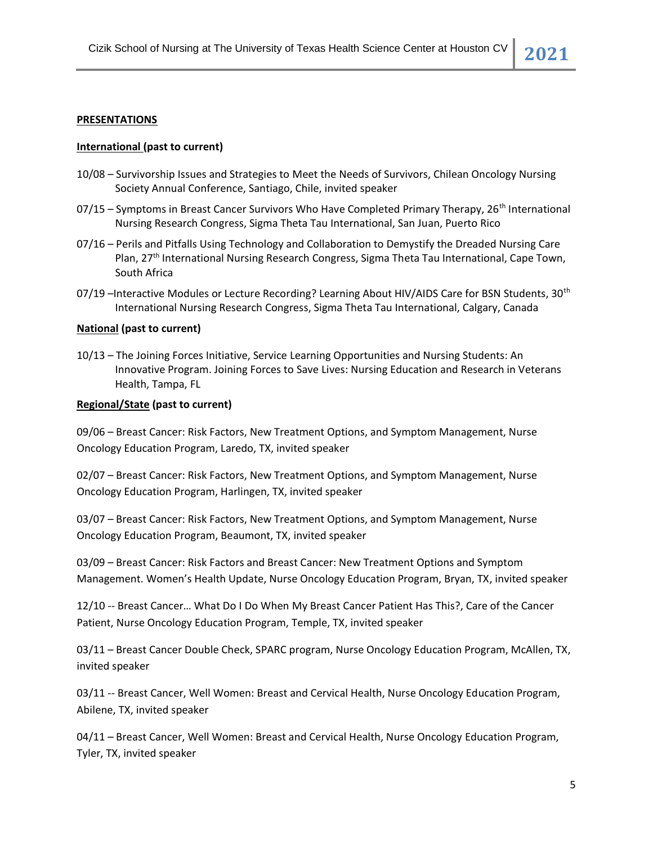#### **PRESENTATIONS**

#### **International (past to current)**

- 10/08 Survivorship Issues and Strategies to Meet the Needs of Survivors, Chilean Oncology Nursing Society Annual Conference, Santiago, Chile, invited speaker
- 07/15 Symptoms in Breast Cancer Survivors Who Have Completed Primary Therapy, 26<sup>th</sup> International Nursing Research Congress, Sigma Theta Tau International, San Juan, Puerto Rico
- 07/16 Perils and Pitfalls Using Technology and Collaboration to Demystify the Dreaded Nursing Care Plan, 27<sup>th</sup> International Nursing Research Congress, Sigma Theta Tau International, Cape Town, South Africa
- 07/19 –Interactive Modules or Lecture Recording? Learning About HIV/AIDS Care for BSN Students, 30<sup>th</sup> International Nursing Research Congress, Sigma Theta Tau International, Calgary, Canada

#### **National (past to current)**

10/13 – The Joining Forces Initiative, Service Learning Opportunities and Nursing Students: An Innovative Program. Joining Forces to Save Lives: Nursing Education and Research in Veterans Health, Tampa, FL

#### **Regional/State (past to current)**

09/06 – Breast Cancer: Risk Factors, New Treatment Options, and Symptom Management, Nurse Oncology Education Program, Laredo, TX, invited speaker

02/07 – Breast Cancer: Risk Factors, New Treatment Options, and Symptom Management, Nurse Oncology Education Program, Harlingen, TX, invited speaker

03/07 – Breast Cancer: Risk Factors, New Treatment Options, and Symptom Management, Nurse Oncology Education Program, Beaumont, TX, invited speaker

03/09 – Breast Cancer: Risk Factors and Breast Cancer: New Treatment Options and Symptom Management. Women's Health Update, Nurse Oncology Education Program, Bryan, TX, invited speaker

12/10 -- Breast Cancer… What Do I Do When My Breast Cancer Patient Has This?, Care of the Cancer Patient, Nurse Oncology Education Program, Temple, TX, invited speaker

03/11 – Breast Cancer Double Check, SPARC program, Nurse Oncology Education Program, McAllen, TX, invited speaker

03/11 -- Breast Cancer, Well Women: Breast and Cervical Health, Nurse Oncology Education Program, Abilene, TX, invited speaker

04/11 – Breast Cancer, Well Women: Breast and Cervical Health, Nurse Oncology Education Program, Tyler, TX, invited speaker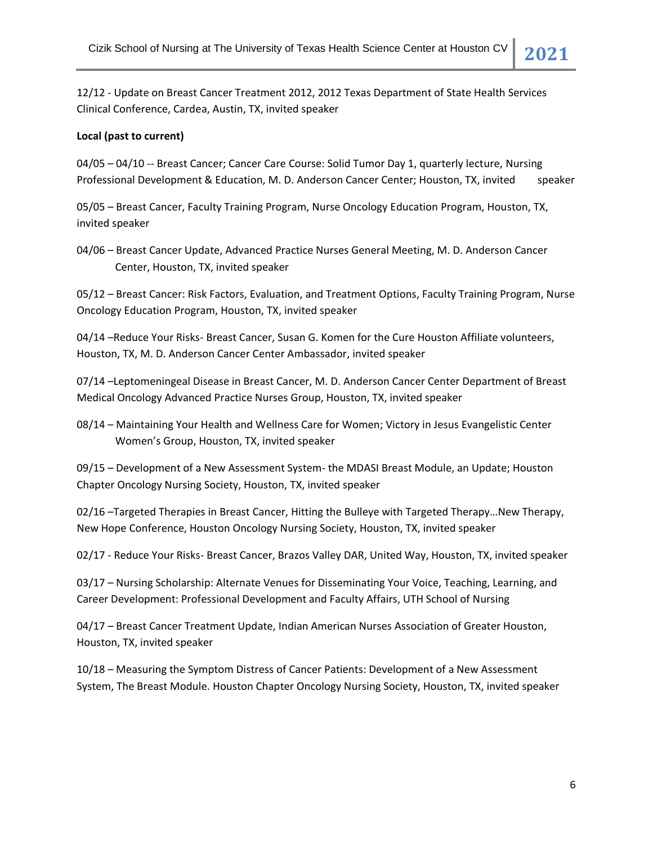12/12 - Update on Breast Cancer Treatment 2012, 2012 Texas Department of State Health Services Clinical Conference, Cardea, Austin, TX, invited speaker

## **Local (past to current)**

04/05 – 04/10 -- Breast Cancer; Cancer Care Course: Solid Tumor Day 1, quarterly lecture, Nursing Professional Development & Education, M. D. Anderson Cancer Center; Houston, TX, invited speaker

05/05 – Breast Cancer, Faculty Training Program, Nurse Oncology Education Program, Houston, TX, invited speaker

04/06 – Breast Cancer Update, Advanced Practice Nurses General Meeting, M. D. Anderson Cancer Center, Houston, TX, invited speaker

05/12 – Breast Cancer: Risk Factors, Evaluation, and Treatment Options, Faculty Training Program, Nurse Oncology Education Program, Houston, TX, invited speaker

04/14 –Reduce Your Risks- Breast Cancer, Susan G. Komen for the Cure Houston Affiliate volunteers, Houston, TX, M. D. Anderson Cancer Center Ambassador, invited speaker

07/14 –Leptomeningeal Disease in Breast Cancer, M. D. Anderson Cancer Center Department of Breast Medical Oncology Advanced Practice Nurses Group, Houston, TX, invited speaker

08/14 – Maintaining Your Health and Wellness Care for Women; Victory in Jesus Evangelistic Center Women's Group, Houston, TX, invited speaker

09/15 – Development of a New Assessment System- the MDASI Breast Module, an Update; Houston Chapter Oncology Nursing Society, Houston, TX, invited speaker

02/16 –Targeted Therapies in Breast Cancer, Hitting the Bulleye with Targeted Therapy…New Therapy, New Hope Conference, Houston Oncology Nursing Society, Houston, TX, invited speaker

02/17 - Reduce Your Risks- Breast Cancer, Brazos Valley DAR, United Way, Houston, TX, invited speaker

03/17 – Nursing Scholarship: Alternate Venues for Disseminating Your Voice, Teaching, Learning, and Career Development: Professional Development and Faculty Affairs, UTH School of Nursing

04/17 – Breast Cancer Treatment Update, Indian American Nurses Association of Greater Houston, Houston, TX, invited speaker

10/18 – Measuring the Symptom Distress of Cancer Patients: Development of a New Assessment System, The Breast Module. Houston Chapter Oncology Nursing Society, Houston, TX, invited speaker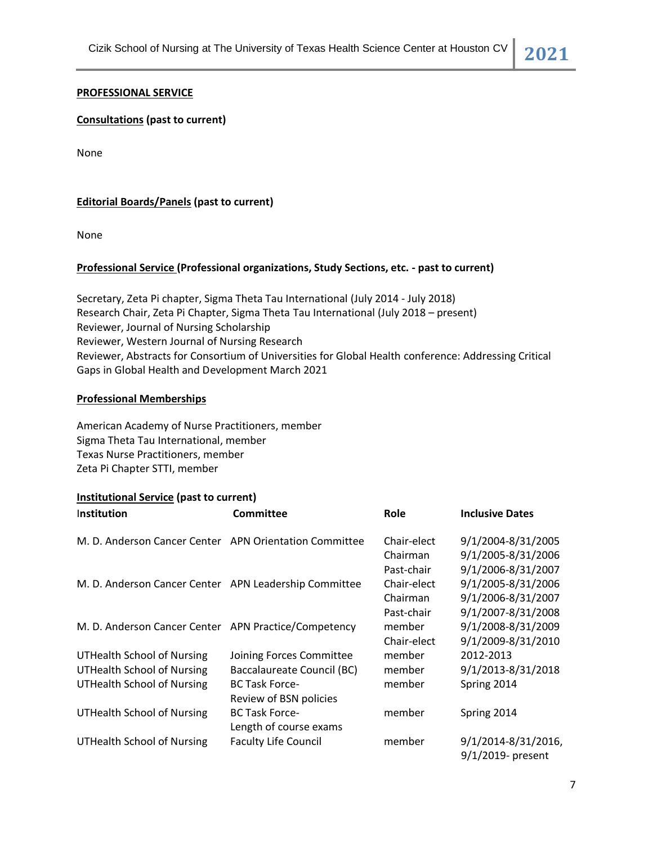### **PROFESSIONAL SERVICE**

### **Consultations (past to current)**

None

## **Editorial Boards/Panels (past to current)**

None

## **Professional Service (Professional organizations, Study Sections, etc. - past to current)**

Secretary, Zeta Pi chapter, Sigma Theta Tau International (July 2014 - July 2018) Research Chair, Zeta Pi Chapter, Sigma Theta Tau International (July 2018 – present) Reviewer, Journal of Nursing Scholarship Reviewer, Western Journal of Nursing Research Reviewer, Abstracts for Consortium of Universities for Global Health conference: Addressing Critical Gaps in Global Health and Development March 2021

#### **Professional Memberships**

American Academy of Nurse Practitioners, member Sigma Theta Tau International, member Texas Nurse Practitioners, member Zeta Pi Chapter STTI, member

#### **Institutional Service (past to current)**

| Institution                                            | Committee                   | Role        | <b>Inclusive Dates</b> |
|--------------------------------------------------------|-----------------------------|-------------|------------------------|
| M. D. Anderson Cancer Center APN Orientation Committee |                             | Chair-elect | 9/1/2004-8/31/2005     |
|                                                        |                             | Chairman    | 9/1/2005-8/31/2006     |
|                                                        |                             | Past-chair  | 9/1/2006-8/31/2007     |
| M. D. Anderson Cancer Center APN Leadership Committee  |                             | Chair-elect | 9/1/2005-8/31/2006     |
|                                                        |                             | Chairman    | 9/1/2006-8/31/2007     |
|                                                        |                             | Past-chair  | 9/1/2007-8/31/2008     |
| M. D. Anderson Cancer Center APN Practice/Competency   |                             | member      | 9/1/2008-8/31/2009     |
|                                                        |                             | Chair-elect | 9/1/2009-8/31/2010     |
| <b>UTHealth School of Nursing</b>                      | Joining Forces Committee    | member      | 2012-2013              |
| <b>UTHealth School of Nursing</b>                      | Baccalaureate Council (BC)  | member      | 9/1/2013-8/31/2018     |
| <b>UTHealth School of Nursing</b>                      | <b>BC Task Force-</b>       | member      | Spring 2014            |
|                                                        | Review of BSN policies      |             |                        |
| <b>UTHealth School of Nursing</b>                      | <b>BC Task Force-</b>       | member      | Spring 2014            |
|                                                        | Length of course exams      |             |                        |
| <b>UTHealth School of Nursing</b>                      | <b>Faculty Life Council</b> | member      | 9/1/2014-8/31/2016,    |
|                                                        |                             |             | 9/1/2019- present      |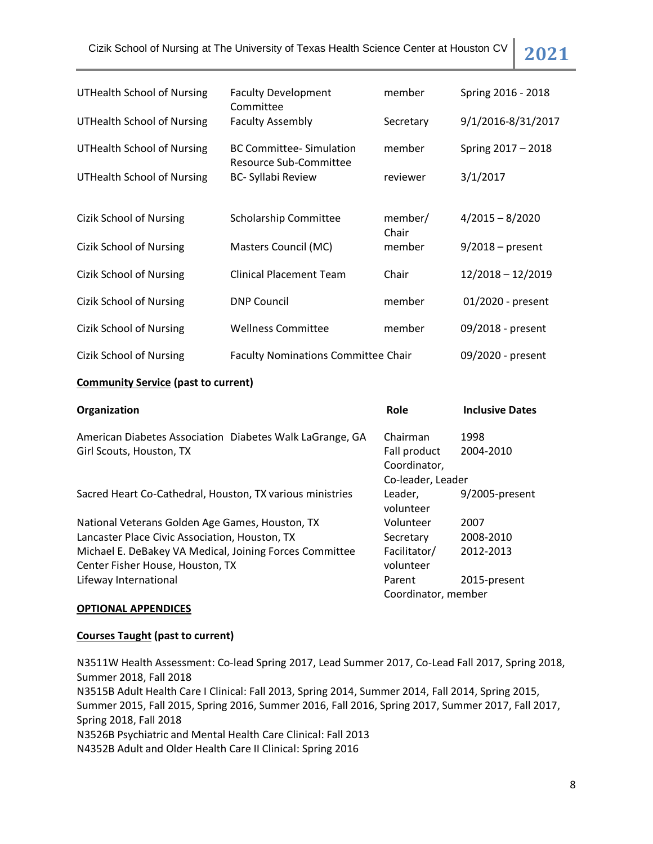Cizik School of Nursing at The University of Texas Health Science Center at Houston CV **2021**

| <b>Faculty Development</b>     | member                              | Spring 2016 - 2018                                  |
|--------------------------------|-------------------------------------|-----------------------------------------------------|
| <b>Faculty Assembly</b>        | Secretary                           | 9/1/2016-8/31/2017                                  |
| <b>BC Committee-Simulation</b> | member                              | Spring 2017 - 2018                                  |
| <b>BC-Syllabi Review</b>       | reviewer                            | 3/1/2017                                            |
| <b>Scholarship Committee</b>   | member/                             | $4/2015 - 8/2020$                                   |
| Masters Council (MC)           | member                              | $9/2018$ – present                                  |
| <b>Clinical Placement Team</b> | Chair                               | $12/2018 - 12/2019$                                 |
| <b>DNP Council</b>             | member                              | 01/2020 - present                                   |
| <b>Wellness Committee</b>      | member                              | 09/2018 - present                                   |
|                                |                                     | 09/2020 - present                                   |
|                                | Committee<br>Resource Sub-Committee | Chair<br><b>Faculty Nominations Committee Chair</b> |

#### **Community Service (past to current)**

| Organization                                              | Role                | <b>Inclusive Dates</b> |
|-----------------------------------------------------------|---------------------|------------------------|
| American Diabetes Association Diabetes Walk LaGrange, GA  | Chairman            | 1998                   |
| Girl Scouts, Houston, TX                                  | Fall product        | 2004-2010              |
|                                                           | Coordinator,        |                        |
|                                                           | Co-leader, Leader   |                        |
| Sacred Heart Co-Cathedral, Houston, TX various ministries | Leader,             | 9/2005-present         |
|                                                           | volunteer           |                        |
| National Veterans Golden Age Games, Houston, TX           | Volunteer           | 2007                   |
| Lancaster Place Civic Association, Houston, TX            | Secretary           | 2008-2010              |
| Michael E. DeBakey VA Medical, Joining Forces Committee   | Facilitator/        | 2012-2013              |
| Center Fisher House, Houston, TX                          | volunteer           |                        |
| Lifeway International                                     | Parent              | 2015-present           |
|                                                           | Coordinator, member |                        |

## **OPTIONAL APPENDICES**

#### **Courses Taught (past to current)**

N3511W Health Assessment: Co-lead Spring 2017, Lead Summer 2017, Co-Lead Fall 2017, Spring 2018, Summer 2018, Fall 2018 N3515B Adult Health Care I Clinical: Fall 2013, Spring 2014, Summer 2014, Fall 2014, Spring 2015, Summer 2015, Fall 2015, Spring 2016, Summer 2016, Fall 2016, Spring 2017, Summer 2017, Fall 2017, Spring 2018, Fall 2018 N3526B Psychiatric and Mental Health Care Clinical: Fall 2013 N4352B Adult and Older Health Care II Clinical: Spring 2016